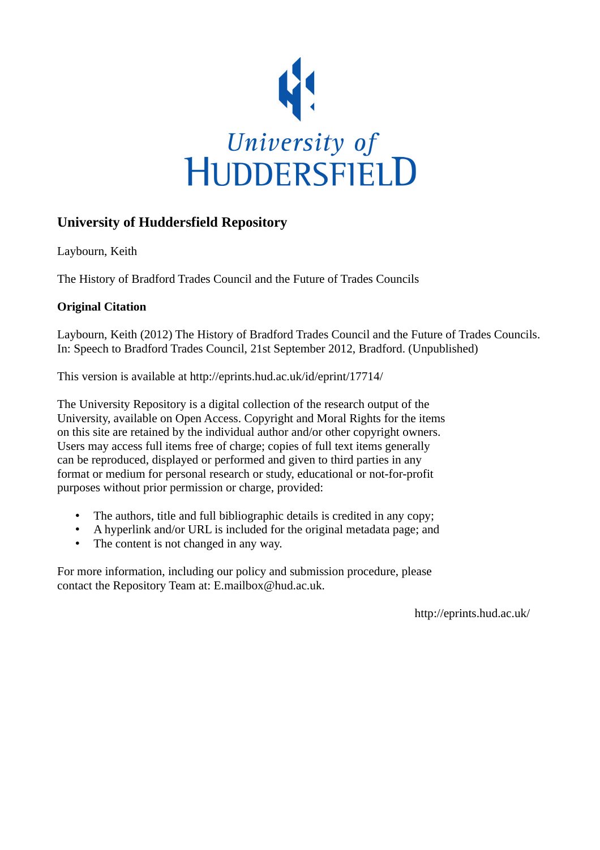

### **University of Huddersfield Repository**

Laybourn, Keith

The History of Bradford Trades Council and the Future of Trades Councils

### **Original Citation**

Laybourn, Keith (2012) The History of Bradford Trades Council and the Future of Trades Councils. In: Speech to Bradford Trades Council, 21st September 2012, Bradford. (Unpublished)

This version is available at http://eprints.hud.ac.uk/id/eprint/17714/

The University Repository is a digital collection of the research output of the University, available on Open Access. Copyright and Moral Rights for the items on this site are retained by the individual author and/or other copyright owners. Users may access full items free of charge; copies of full text items generally can be reproduced, displayed or performed and given to third parties in any format or medium for personal research or study, educational or not-for-profit purposes without prior permission or charge, provided:

- The authors, title and full bibliographic details is credited in any copy;
- A hyperlink and/or URL is included for the original metadata page; and
- The content is not changed in any way.

For more information, including our policy and submission procedure, please contact the Repository Team at: E.mailbox@hud.ac.uk.

http://eprints.hud.ac.uk/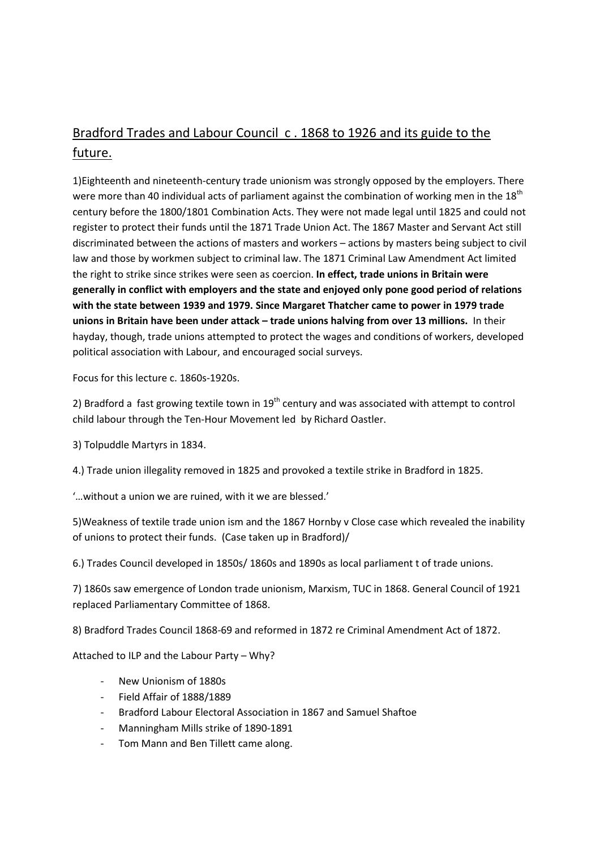# Bradford Trades and Labour Council c . 1868 to 1926 and its guide to the future.

1)Eighteenth and nineteenth-century trade unionism was strongly opposed by the employers. There were more than 40 individual acts of parliament against the combination of working men in the 18<sup>th</sup> century before the 1800/1801 Combination Acts. They were not made legal until 1825 and could not register to protect their funds until the 1871 Trade Union Act. The 1867 Master and Servant Act still discriminated between the actions of masters and workers – actions by masters being subject to civil law and those by workmen subject to criminal law. The 1871 Criminal Law Amendment Act limited the right to strike since strikes were seen as coercion. In effect, trade unions in Britain were generally in conflict with employers and the state and enjoyed only pone good period of relations with the state between 1939 and 1979. Since Margaret Thatcher came to power in 1979 trade unions in Britain have been under attack – trade unions halving from over 13 millions. In their hayday, though, trade unions attempted to protect the wages and conditions of workers, developed political association with Labour, and encouraged social surveys.

Focus for this lecture c. 1860s-1920s.

2) Bradford a fast growing textile town in  $19<sup>th</sup>$  century and was associated with attempt to control child labour through the Ten-Hour Movement led by Richard Oastler.

3) Tolpuddle Martyrs in 1834.

4.) Trade union illegality removed in 1825 and provoked a textile strike in Bradford in 1825.

'…without a union we are ruined, with it we are blessed.'

5)Weakness of textile trade union ism and the 1867 Hornby v Close case which revealed the inability of unions to protect their funds. (Case taken up in Bradford)/

6.) Trades Council developed in 1850s/ 1860s and 1890s as local parliament t of trade unions.

7) 1860s saw emergence of London trade unionism, Marxism, TUC in 1868. General Council of 1921 replaced Parliamentary Committee of 1868.

8) Bradford Trades Council 1868-69 and reformed in 1872 re Criminal Amendment Act of 1872.

Attached to ILP and the Labour Party – Why?

- New Unionism of 1880s
- Field Affair of 1888/1889
- Bradford Labour Electoral Association in 1867 and Samuel Shaftoe
- Manningham Mills strike of 1890-1891
- Tom Mann and Ben Tillett came along.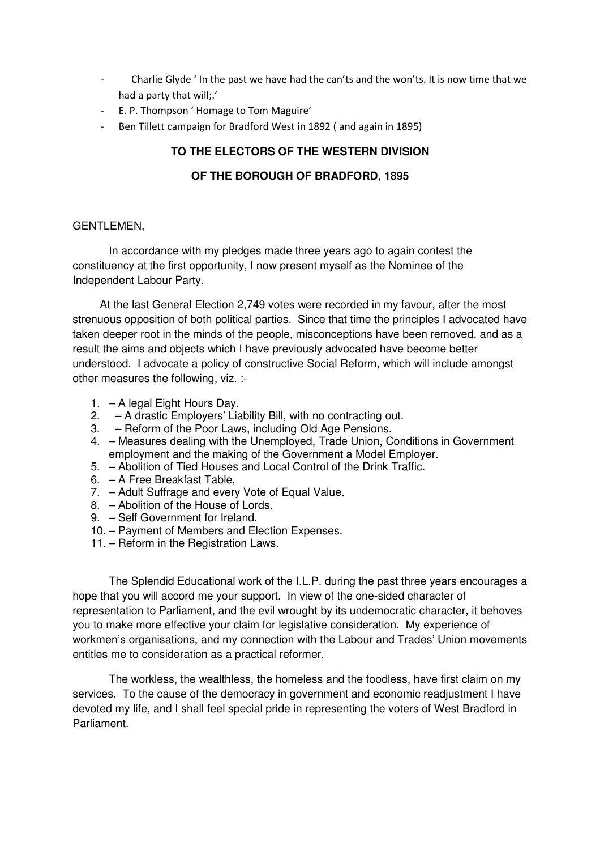- Charlie Glyde ' In the past we have had the can'ts and the won'ts. It is now time that we had a party that will;.'
- E. P. Thompson ' Homage to Tom Maguire'
- Ben Tillett campaign for Bradford West in 1892 (and again in 1895)

#### **TO THE ELECTORS OF THE WESTERN DIVISION**

#### **OF THE BOROUGH OF BRADFORD, 1895**

#### GENTLEMEN,

 In accordance with my pledges made three years ago to again contest the constituency at the first opportunity, I now present myself as the Nominee of the Independent Labour Party.

 At the last General Election 2,749 votes were recorded in my favour, after the most strenuous opposition of both political parties. Since that time the principles I advocated have taken deeper root in the minds of the people, misconceptions have been removed, and as a result the aims and objects which I have previously advocated have become better understood. I advocate a policy of constructive Social Reform, which will include amongst other measures the following, viz. :-

- 1. A legal Eight Hours Day.
- 2. A drastic Employers' Liability Bill, with no contracting out.
- 3. Reform of the Poor Laws, including Old Age Pensions.
- 4. Measures dealing with the Unemployed, Trade Union, Conditions in Government employment and the making of the Government a Model Employer.
- 5. Abolition of Tied Houses and Local Control of the Drink Traffic.
- 6. A Free Breakfast Table,
- 7. Adult Suffrage and every Vote of Equal Value.
- 8. Abolition of the House of Lords.
- 9. Self Government for Ireland.
- 10. Payment of Members and Election Expenses.
- 11. Reform in the Registration Laws.

The Splendid Educational work of the I.L.P. during the past three years encourages a hope that you will accord me your support. In view of the one-sided character of representation to Parliament, and the evil wrought by its undemocratic character, it behoves you to make more effective your claim for legislative consideration. My experience of workmen's organisations, and my connection with the Labour and Trades' Union movements entitles me to consideration as a practical reformer.

The workless, the wealthless, the homeless and the foodless, have first claim on my services. To the cause of the democracy in government and economic readjustment I have devoted my life, and I shall feel special pride in representing the voters of West Bradford in Parliament.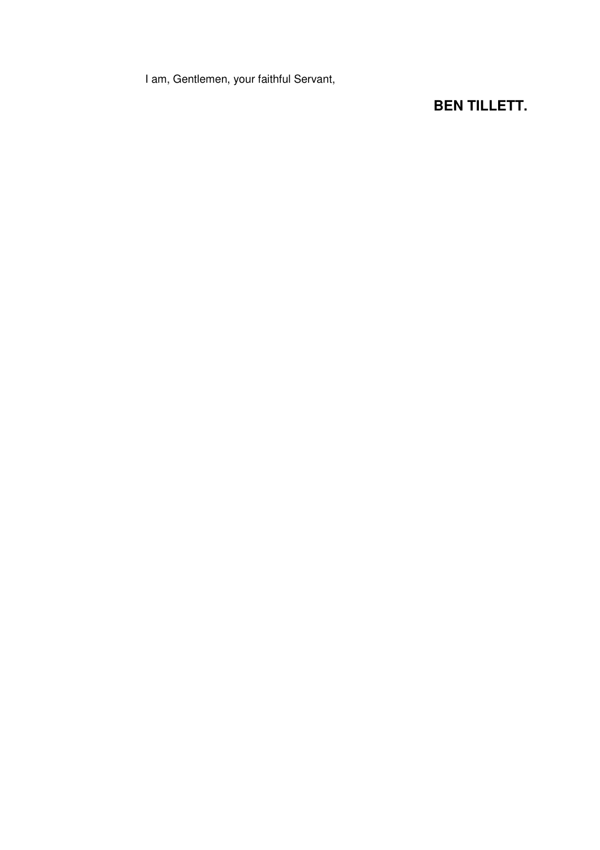I am, Gentlemen, your faithful Servant,

## **BEN TILLETT.**